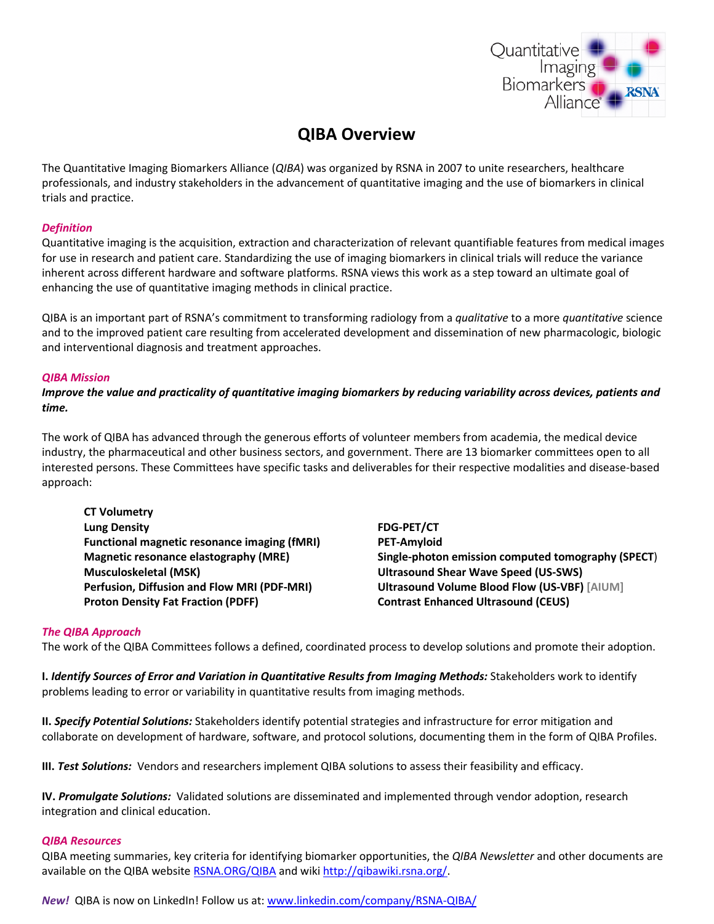

# **QIBA Overview**

The Quantitative Imaging Biomarkers Alliance (*QIBA*) was organized by RSNA in 2007 to unite researchers, healthcare professionals, and industry stakeholders in the advancement of quantitative imaging and the use of biomarkers in clinical trials and practice.

#### *Definition*

Quantitative imaging is the acquisition, extraction and characterization of relevant quantifiable features from medical images for use in research and patient care. Standardizing the use of imaging biomarkers in clinical trials will reduce the variance inherent across different hardware and software platforms. RSNA views this work as a step toward an ultimate goal of enhancing the use of quantitative imaging methods in clinical practice.

QIBA is an important part of RSNA's commitment to transforming radiology from a *qualitative* to a more *quantitative* science and to the improved patient care resulting from accelerated development and dissemination of new pharmacologic, biologic and interventional diagnosis and treatment approaches.

#### *QIBA Mission*

*Improve the value and practicality of quantitative imaging biomarkers by reducing variability across devices, patients and time.*

The work of QIBA has advanced through the generous efforts of volunteer members from academia, the medical device industry, the pharmaceutical and other business sectors, and government. There are 13 biomarker committees open to all interested persons. These Committees have specific tasks and deliverables for their respective modalities and disease-based approach:

**CT Volumetry Lung Density Functional magnetic resonance imaging (fMRI) Magnetic resonance elastography (MRE) Musculoskeletal (MSK) Perfusion, Diffusion and Flow MRI (PDF-MRI) Proton Density Fat Fraction (PDFF)**

**FDG-PET/CT PET-Amyloid Single-photon emission computed tomography (SPECT**) **Ultrasound Shear Wave Speed (US-SWS) Ultrasound Volume Blood Flow (US-VBF) [AIUM] Contrast Enhanced Ultrasound (CEUS)**

#### *The QIBA Approach*

The work of the QIBA Committees follows a defined, coordinated process to develop solutions and promote their adoption.

**I.** *Identify Sources of Error and Variation in Quantitative Results from Imaging Methods:* Stakeholders work to identify problems leading to error or variability in quantitative results from imaging methods.

**II.** *Specify Potential Solutions:* Stakeholders identify potential strategies and infrastructure for error mitigation and collaborate on development of hardware, software, and protocol solutions, documenting them in the form of QIBA Profiles.

**III.** *Test Solutions:* Vendors and researchers implement QIBA solutions to assess their feasibility and efficacy.

**IV.** *Promulgate Solutions:* Validated solutions are disseminated and implemented through vendor adoption, research integration and clinical education.

#### *QIBA Resources*

QIBA meeting summaries, key criteria for identifying biomarker opportunities, the *QIBA Newsletter* and other documents are available on the QIBA website [RSNA.ORG/QIBA](http://www.rsna.org/QIBA.aspx) and wiki [http://qibawiki.rsna.org/.](http://qibawiki.rsna.org/)

*New!* QIBA is now on LinkedIn! Follow us at: [www.linkedin.com/company/RSNA-QIBA/](http://www.linkedin.com/company/RSNA-QIBA/)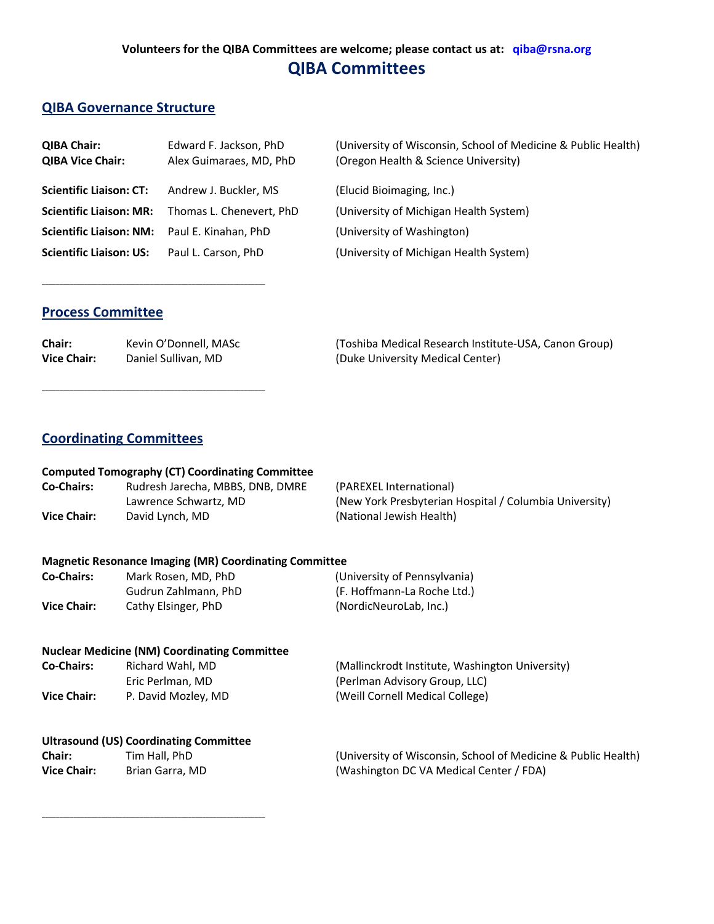# **Volunteers for the QIBA Committees are welcome; please contact us at: qiba@rsna.org QIBA Committees**

## **QIBA Governance Structure**

| <b>QIBA Chair:</b><br><b>QIBA Vice Chair:</b> | Edward F. Jackson, PhD<br>Alex Guimaraes, MD, PhD | (University of Wisconsin, School of Medicine & Public Health)<br>(Oregon Health & Science University) |
|-----------------------------------------------|---------------------------------------------------|-------------------------------------------------------------------------------------------------------|
| <b>Scientific Liaison: CT:</b>                | Andrew J. Buckler, MS                             | (Elucid Bioimaging, Inc.)                                                                             |
| <b>Scientific Liaison: MR:</b>                | Thomas L. Chenevert, PhD                          | (University of Michigan Health System)                                                                |
| <b>Scientific Liaison: NM:</b>                | Paul E. Kinahan, PhD                              | (University of Washington)                                                                            |
| <b>Scientific Liaison: US:</b>                | Paul L. Carson, PhD                               | (University of Michigan Health System)                                                                |

## **Process Committee**

\_\_\_\_\_\_\_\_\_\_\_\_\_\_\_\_\_\_\_\_\_\_\_\_\_\_\_\_\_\_\_\_\_\_\_\_\_\_\_\_\_\_\_\_\_\_\_\_\_\_\_\_\_\_\_\_\_\_\_\_\_\_\_\_

\_\_\_\_\_\_\_\_\_\_\_\_\_\_\_\_\_\_\_\_\_\_\_\_\_\_\_\_\_\_\_\_\_\_\_\_\_\_\_\_\_\_\_\_\_\_\_\_\_\_\_\_\_\_\_\_\_\_\_\_\_\_\_\_

| Chair:             | Kevin O'Donnell, MASc | (Toshiba Medical Research Institute-USA, Canon Group) |
|--------------------|-----------------------|-------------------------------------------------------|
| <b>Vice Chair:</b> | Daniel Sullivan, MD   | (Duke University Medical Center)                      |

## **Coordinating Committees**

|  | <b>Computed Tomography (CT) Coordinating Committee</b> |  |  |
|--|--------------------------------------------------------|--|--|
|--|--------------------------------------------------------|--|--|

| <b>Co-Chairs:</b>  | Rudresh Jarecha, MBBS, DNB, DMRE | (PAREXEL International)                                |
|--------------------|----------------------------------|--------------------------------------------------------|
|                    | Lawrence Schwartz, MD            | (New York Presbyterian Hospital / Columbia University) |
| <b>Vice Chair:</b> | David Lynch, MD                  | (National Jewish Health)                               |

#### **Magnetic Resonance Imaging (MR) Coordinating Committee**

| <b>Co-Chairs:</b>  | Mark Rosen, MD, PhD  | (University of Pennsylvania) |
|--------------------|----------------------|------------------------------|
|                    | Gudrun Zahlmann. PhD | (F. Hoffmann-La Roche Ltd.)  |
| <b>Vice Chair:</b> | Cathy Elsinger, PhD  | (NordicNeuroLab, Inc.)       |

#### **Nuclear Medicine (NM) Coordinating Committee**

| <b>Co-Chairs:</b>  | Richard Wahl, MD    | (Mallinckrodt Institute, Washington University) |
|--------------------|---------------------|-------------------------------------------------|
|                    | Eric Perlman, MD    | (Perlman Advisory Group, LLC)                   |
| <b>Vice Chair:</b> | P. David Mozley, MD | (Weill Cornell Medical College)                 |

### **Ultrasound (US) Coordinating Committee**

\_\_\_\_\_\_\_\_\_\_\_\_\_\_\_\_\_\_\_\_\_\_\_\_\_\_\_\_\_\_\_\_\_\_\_\_\_\_\_\_\_\_\_\_\_\_\_\_\_\_\_\_\_\_\_\_\_\_\_\_\_\_\_\_

| Chair:             | Tim Hall, PhD   | (University of Wisconsin, School of Medicine & Public Health) |
|--------------------|-----------------|---------------------------------------------------------------|
| <b>Vice Chair:</b> | Brian Garra, MD | (Washington DC VA Medical Center / FDA)                       |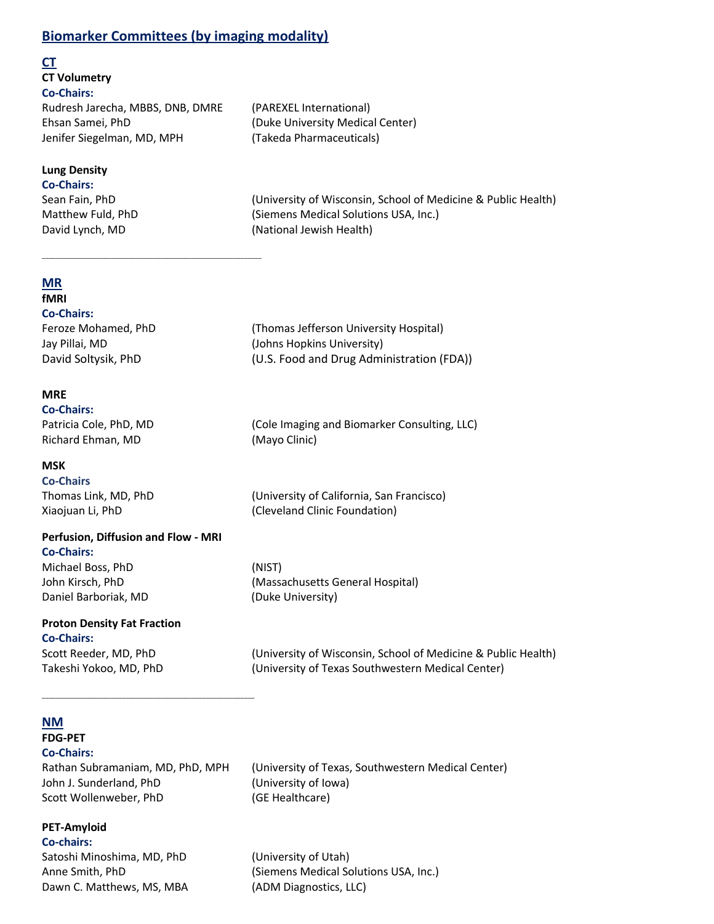## **Biomarker Committees (by imaging modality)**

#### **CT**

**CT Volumetry Co-Chairs:** Rudresh Jarecha, MBBS, DNB, DMRE (PAREXEL International) Ehsan Samei, PhD (Duke University Medical Center) Jenifer Siegelman, MD, MPH (Takeda Pharmaceuticals)

\_\_\_\_\_\_\_\_\_\_\_\_\_\_\_\_\_\_\_\_\_\_\_\_\_\_\_\_\_\_\_\_\_\_\_\_\_\_\_\_\_\_\_\_\_\_\_\_\_\_\_\_\_\_\_\_\_\_\_\_\_\_\_

## **Lung Density**

**Co-Chairs:**

Sean Fain, PhD (University of Wisconsin, School of Medicine & Public Health) Matthew Fuld, PhD (Siemens Medical Solutions USA, Inc.) David Lynch, MD (National Jewish Health)

## **MR**

# **fMRI**

**Co-Chairs:** Feroze Mohamed, PhD (Thomas Jefferson University Hospital) Jay Pillai, MD (Johns Hopkins University) David Soltysik, PhD (U.S. Food and Drug Administration (FDA))

## **MRE**

**Co-Chairs:** Patricia Cole, PhD, MD (Cole Imaging and Biomarker Consulting, LLC) Richard Ehman, MD (Mayo Clinic)

**MSK**

**Co-Chairs**

Thomas Link, MD, PhD (University of California, San Francisco) Xiaojuan Li, PhD (Cleveland Clinic Foundation)

## **Perfusion, Diffusion and Flow - MRI**

**Co-Chairs:** Michael Boss, PhD (NIST) John Kirsch, PhD (Massachusetts General Hospital) Daniel Barboriak, MD (Duke University)

**Proton Density Fat Fraction Co-Chairs:**

Scott Reeder, MD, PhD (University of Wisconsin, School of Medicine & Public Health) Takeshi Yokoo, MD, PhD (University of Texas Southwestern Medical Center)

#### **NM FDG-PET**

**Co-Chairs:**

**PET-Amyloid** 

John J. Sunderland, PhD (University of Iowa) Scott Wollenweber, PhD (GE Healthcare)

\_\_\_\_\_\_\_\_\_\_\_\_\_\_\_\_\_\_\_\_\_\_\_\_\_\_\_\_\_\_\_\_\_\_\_\_\_\_\_\_\_\_\_\_\_\_\_\_\_\_\_\_\_\_\_\_\_\_\_\_\_

Rathan Subramaniam, MD, PhD, MPH (University of Texas, Southwestern Medical Center)

Anne Smith, PhD (Siemens Medical Solutions USA, Inc.)

**Co-chairs:** Satoshi Minoshima, MD, PhD (University of Utah) Dawn C. Matthews, MS, MBA (ADM Diagnostics, LLC)